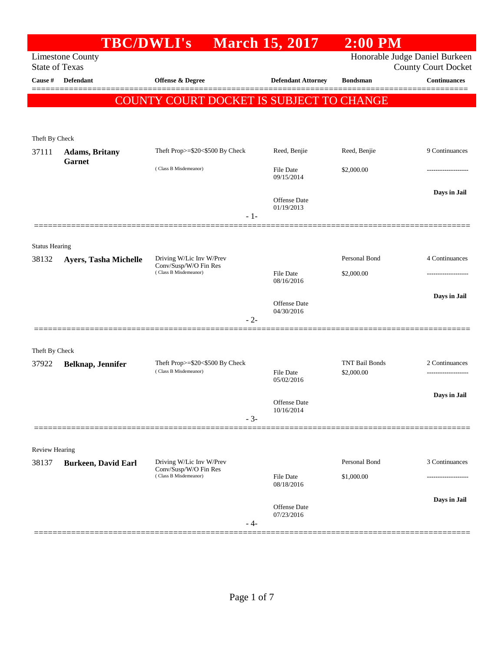|                       | <b>TBC/DWLI's</b>          |                                                                            | <b>March 15, 2017</b>             | $2:00$ PM                           |                            |
|-----------------------|----------------------------|----------------------------------------------------------------------------|-----------------------------------|-------------------------------------|----------------------------|
| <b>State of Texas</b> | <b>Limestone County</b>    |                                                                            |                                   | Honorable Judge Daniel Burkeen      | <b>County Court Docket</b> |
| Cause #               | Defendant                  | Offense & Degree                                                           | <b>Defendant Attorney</b>         | <b>Bondsman</b>                     | <b>Continuances</b>        |
|                       |                            | COUNTY COURT DOCKET IS SUBJECT TO CHANGE                                   |                                   |                                     |                            |
|                       |                            |                                                                            |                                   |                                     |                            |
| Theft By Check        |                            |                                                                            |                                   |                                     |                            |
| 37111                 | <b>Adams</b> , Britany     | Theft Prop>=\$20<\$500 By Check                                            | Reed, Benjie                      | Reed, Benjie                        | 9 Continuances             |
|                       | <b>Garnet</b>              | (Class B Misdemeanor)                                                      | <b>File Date</b><br>09/15/2014    | \$2,000.00                          | ------------------         |
|                       |                            | $-1-$                                                                      | Offense Date<br>01/19/2013        |                                     | Days in Jail               |
| <b>Status Hearing</b> |                            |                                                                            |                                   |                                     |                            |
| 38132                 | Ayers, Tasha Michelle      | Driving W/Lic Inv W/Prev<br>Conv/Susp/W/O Fin Res                          |                                   | Personal Bond                       | 4 Continuances             |
|                       |                            | (Class B Misdemeanor)                                                      | <b>File Date</b><br>08/16/2016    | \$2,000.00                          | .                          |
|                       |                            |                                                                            |                                   |                                     | Days in Jail               |
|                       |                            |                                                                            | <b>Offense</b> Date<br>04/30/2016 |                                     |                            |
|                       |                            | $-2-$                                                                      |                                   |                                     |                            |
| Theft By Check        |                            |                                                                            |                                   |                                     |                            |
| 37922                 | Belknap, Jennifer          | Theft Prop>=\$20<\$500 By Check<br>(Class B Misdemeanor)                   | <b>File Date</b>                  | <b>TNT Bail Bonds</b><br>\$2,000.00 | 2 Continuances             |
|                       |                            |                                                                            | 05/02/2016                        |                                     | ------------------         |
|                       |                            |                                                                            | Offense Date                      |                                     | Days in Jail               |
|                       |                            | $-3-$                                                                      | 10/16/2014                        |                                     |                            |
|                       |                            |                                                                            |                                   |                                     |                            |
| Review Hearing        |                            |                                                                            |                                   |                                     |                            |
| 38137                 | <b>Burkeen, David Earl</b> | Driving W/Lic Inv W/Prev<br>Conv/Susp/W/O Fin Res<br>(Class B Misdemeanor) | <b>File Date</b>                  | Personal Bond<br>\$1,000.00         | 3 Continuances<br>.        |
|                       |                            |                                                                            | 08/18/2016                        |                                     |                            |
|                       |                            |                                                                            | Offense Date                      |                                     | Days in Jail               |
|                       |                            | - 4-                                                                       | 07/23/2016                        |                                     |                            |
|                       | ======================     |                                                                            |                                   |                                     |                            |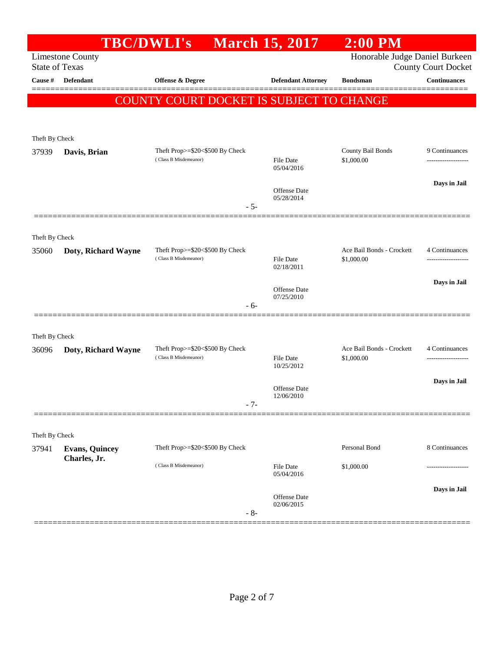|                | <b>TBC/DWLI's</b>                                |                                                          | <b>March 15, 2017</b>          | <b>2:00 PM</b>                          |                            |
|----------------|--------------------------------------------------|----------------------------------------------------------|--------------------------------|-----------------------------------------|----------------------------|
|                | <b>Limestone County</b><br><b>State of Texas</b> |                                                          |                                | Honorable Judge Daniel Burkeen          | <b>County Court Docket</b> |
| Cause #        | Defendant                                        | <b>Offense &amp; Degree</b>                              | <b>Defendant Attorney</b>      | <b>Bondsman</b>                         | <b>Continuances</b>        |
|                |                                                  | COUNTY COURT DOCKET IS SUBJECT TO CHANGE                 |                                |                                         |                            |
|                |                                                  |                                                          |                                |                                         |                            |
| Theft By Check |                                                  |                                                          |                                |                                         |                            |
| 37939          | Davis, Brian                                     | Theft Prop>=\$20<\$500 By Check                          |                                | County Bail Bonds                       | 9 Continuances             |
|                |                                                  | (Class B Misdemeanor)                                    | File Date<br>05/04/2016        | \$1,000.00                              | ------------------         |
|                |                                                  |                                                          | Offense Date                   |                                         | Days in Jail               |
|                |                                                  | $-5-$                                                    | 05/28/2014                     |                                         |                            |
|                |                                                  |                                                          |                                |                                         |                            |
| Theft By Check |                                                  |                                                          |                                |                                         |                            |
| 35060          | Doty, Richard Wayne                              | Theft Prop>=\$20<\$500 By Check<br>(Class B Misdemeanor) | File Date                      | Ace Bail Bonds - Crockett<br>\$1,000.00 | 4 Continuances             |
|                |                                                  |                                                          | 02/18/2011                     |                                         | Days in Jail               |
|                |                                                  |                                                          | Offense Date<br>07/25/2010     |                                         |                            |
|                |                                                  | - 6-                                                     |                                |                                         |                            |
| Theft By Check |                                                  |                                                          |                                |                                         |                            |
| 36096          | Doty, Richard Wayne                              | Theft Prop>=\$20<\$500 By Check                          |                                | Ace Bail Bonds - Crockett               | 4 Continuances             |
|                |                                                  | (Class B Misdemeanor)                                    | File Date<br>10/25/2012        | \$1,000.00                              | -----------------          |
|                |                                                  |                                                          | Offense Date                   |                                         | Days in Jail               |
|                |                                                  | - 7-                                                     | 12/06/2010                     |                                         |                            |
|                |                                                  |                                                          |                                |                                         |                            |
| Theft By Check |                                                  |                                                          |                                |                                         |                            |
| 37941          | <b>Evans, Quincey</b><br>Charles, Jr.            | Theft Prop>=\$20<\$500 By Check                          |                                | Personal Bond                           | 8 Continuances             |
|                |                                                  | (Class B Misdemeanor)                                    | <b>File Date</b><br>05/04/2016 | \$1,000.00                              |                            |
|                |                                                  |                                                          | Offense Date                   |                                         | Days in Jail               |
|                |                                                  | $-8-$                                                    | 02/06/2015                     |                                         |                            |
|                |                                                  |                                                          |                                |                                         |                            |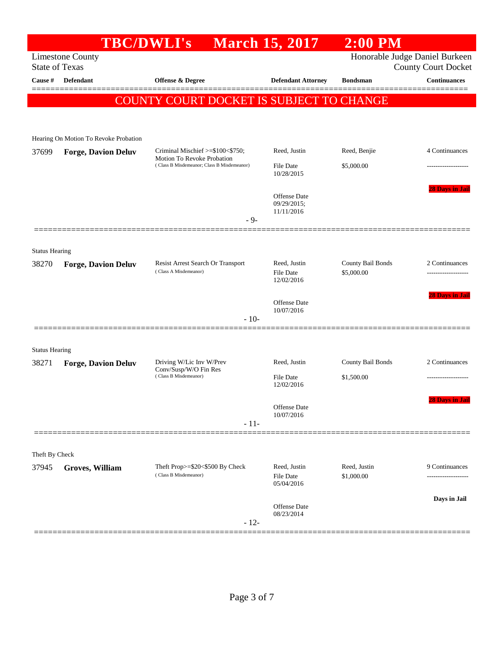|                       | <b>TBC/DWLI's</b>                          |                                                                            | <b>March 15, 2017</b>                          | $2:00$ PM                       |                            |
|-----------------------|--------------------------------------------|----------------------------------------------------------------------------|------------------------------------------------|---------------------------------|----------------------------|
| <b>State of Texas</b> | <b>Limestone County</b>                    |                                                                            |                                                | Honorable Judge Daniel Burkeen  | <b>County Court Docket</b> |
| Cause #               | <b>Defendant</b>                           | Offense & Degree                                                           | <b>Defendant Attorney</b>                      | <b>Bondsman</b>                 | <b>Continuances</b>        |
|                       |                                            | COUNTY COURT DOCKET IS SUBJECT TO CHANGE                                   |                                                |                                 |                            |
|                       |                                            |                                                                            |                                                |                                 |                            |
|                       | Hearing On Motion To Revoke Probation      |                                                                            |                                                |                                 |                            |
| 37699                 | <b>Forge, Davion Deluv</b>                 | Criminal Mischief $\ge$ \$100 < \$750;<br>Motion To Revoke Probation       | Reed, Justin                                   | Reed, Benjie                    | 4 Continuances             |
|                       | (Class B Misdemeanor; Class B Misdemeanor) |                                                                            | File Date<br>10/28/2015                        | \$5,000.00                      | -----------------          |
|                       |                                            | $-9-$                                                                      | Offense Date<br>09/29/2015;<br>11/11/2016      |                                 | 28 Days in Jail            |
|                       |                                            |                                                                            |                                                |                                 |                            |
| <b>Status Hearing</b> |                                            |                                                                            |                                                |                                 |                            |
| 38270                 | <b>Forge, Davion Deluv</b>                 | Resist Arrest Search Or Transport<br>(Class A Misdemeanor)                 | Reed, Justin<br>File Date<br>12/02/2016        | County Bail Bonds<br>\$5,000.00 | 2 Continuances             |
|                       |                                            |                                                                            | Offense Date<br>10/07/2016                     |                                 | <b>28 Days in Jail</b>     |
|                       |                                            | $-10-$                                                                     |                                                |                                 |                            |
| <b>Status Hearing</b> |                                            |                                                                            |                                                |                                 |                            |
| 38271                 | <b>Forge, Davion Deluv</b>                 | Driving W/Lic Inv W/Prev<br>Conv/Susp/W/O Fin Res<br>(Class B Misdemeanor) | Reed, Justin                                   | County Bail Bonds<br>\$1,500.00 | 2 Continuances             |
|                       |                                            |                                                                            | <b>File Date</b><br>12/02/2016                 |                                 |                            |
|                       |                                            |                                                                            | Offense Date<br>10/07/2016                     |                                 | <b>28 Days in Jail</b>     |
|                       |                                            | $-11-$                                                                     |                                                |                                 |                            |
| Theft By Check        |                                            |                                                                            |                                                |                                 |                            |
| 37945                 | Groves, William                            | Theft Prop>=\$20<\$500 By Check<br>(Class B Misdemeanor)                   | Reed, Justin<br><b>File Date</b><br>05/04/2016 | Reed, Justin<br>\$1,000.00      | 9 Continuances             |
|                       |                                            |                                                                            |                                                |                                 | Days in Jail               |
|                       |                                            | $-12-$                                                                     | Offense Date<br>08/23/2014                     |                                 |                            |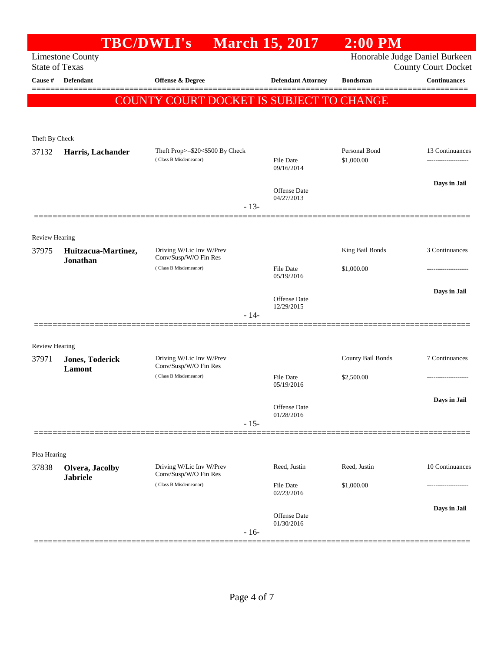|                                | <b>TBC/DWLI's</b>               |                                                          | <b>March 15, 2017</b>          | $2:00$ PM                      |                            |
|--------------------------------|---------------------------------|----------------------------------------------------------|--------------------------------|--------------------------------|----------------------------|
| <b>State of Texas</b>          | <b>Limestone County</b>         |                                                          |                                | Honorable Judge Daniel Burkeen | <b>County Court Docket</b> |
| Cause #                        | <b>Defendant</b>                | <b>Offense &amp; Degree</b>                              | <b>Defendant Attorney</b>      | <b>Bondsman</b>                | <b>Continuances</b>        |
|                                |                                 | COUNTY COURT DOCKET IS SUBJECT TO CHANGE                 |                                |                                |                            |
|                                |                                 |                                                          |                                |                                |                            |
|                                |                                 |                                                          |                                |                                |                            |
| Theft By Check                 |                                 |                                                          |                                | Personal Bond                  | 13 Continuances            |
| 37132                          | Harris, Lachander               | Theft Prop>=\$20<\$500 By Check<br>(Class B Misdemeanor) | File Date<br>09/16/2014        | \$1,000.00                     | -------------------        |
|                                |                                 |                                                          |                                |                                | Days in Jail               |
|                                |                                 |                                                          | Offense Date<br>04/27/2013     |                                |                            |
|                                |                                 | $-13-$                                                   |                                |                                |                            |
|                                |                                 |                                                          |                                |                                |                            |
| <b>Review Hearing</b>          |                                 |                                                          |                                |                                |                            |
| 37975                          | Huitzacua-Martinez,<br>Jonathan | Driving W/Lic Inv W/Prev<br>Conv/Susp/W/O Fin Res        |                                | King Bail Bonds                | 3 Continuances             |
|                                |                                 | (Class B Misdemeanor)                                    | <b>File Date</b><br>05/19/2016 | \$1,000.00                     |                            |
|                                |                                 |                                                          |                                |                                | Days in Jail               |
|                                |                                 |                                                          | Offense Date<br>12/29/2015     |                                |                            |
|                                |                                 | $-14-$                                                   |                                |                                |                            |
|                                |                                 |                                                          |                                |                                |                            |
| <b>Review Hearing</b><br>37971 | <b>Jones, Toderick</b>          | Driving W/Lic Inv W/Prev                                 |                                | County Bail Bonds              | 7 Continuances             |
|                                | <b>Lamont</b>                   | Conv/Susp/W/O Fin Res                                    |                                |                                |                            |
|                                |                                 | (Class B Misdemeanor)                                    | <b>File Date</b><br>05/19/2016 | \$2,500.00                     |                            |
|                                |                                 |                                                          |                                |                                | Days in Jail               |
|                                |                                 |                                                          | Offense Date<br>01/28/2016     |                                |                            |
|                                |                                 | $-15-$                                                   |                                |                                |                            |
|                                |                                 |                                                          |                                |                                |                            |
| Plea Hearing<br>37838          | Olvera, Jacolby                 | Driving W/Lic Inv W/Prev                                 | Reed, Justin                   | Reed, Justin                   | 10 Continuances            |
|                                | <b>Jabriele</b>                 | Conv/Susp/W/O Fin Res<br>(Class B Misdemeanor)           | <b>File Date</b>               | \$1,000.00                     |                            |
|                                |                                 |                                                          | 02/23/2016                     |                                |                            |
|                                |                                 |                                                          | Offense Date                   |                                | Days in Jail               |
|                                |                                 | $-16-$                                                   | 01/30/2016                     |                                |                            |
|                                |                                 |                                                          |                                |                                |                            |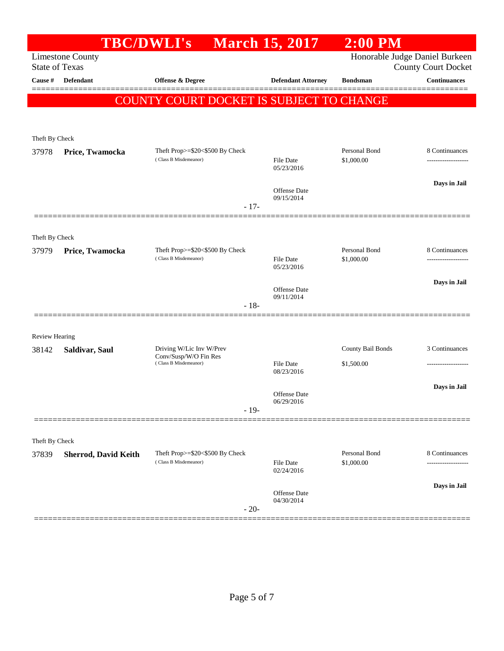|                         |                             | <b>TBC/DWLI's</b>                                        | <b>March 15, 2017</b>          | $2:00$ PM                      |                            |
|-------------------------|-----------------------------|----------------------------------------------------------|--------------------------------|--------------------------------|----------------------------|
| <b>State of Texas</b>   | <b>Limestone County</b>     |                                                          |                                | Honorable Judge Daniel Burkeen | <b>County Court Docket</b> |
| Cause #                 | Defendant                   | <b>Offense &amp; Degree</b>                              | <b>Defendant Attorney</b>      | <b>Bondsman</b>                | <b>Continuances</b>        |
|                         |                             | COUNTY COURT DOCKET IS SUBJECT TO CHANGE                 |                                |                                |                            |
|                         |                             |                                                          |                                |                                |                            |
| Theft By Check          |                             |                                                          |                                |                                |                            |
| 37978                   | Price, Twamocka             | Theft Prop>=\$20<\$500 By Check                          |                                | Personal Bond                  | 8 Continuances             |
|                         |                             | (Class B Misdemeanor)                                    | <b>File Date</b><br>05/23/2016 | \$1,000.00                     | ------------------         |
|                         |                             |                                                          |                                |                                | Days in Jail               |
|                         |                             |                                                          | Offense Date<br>09/15/2014     |                                |                            |
|                         |                             | $-17-$                                                   |                                |                                |                            |
|                         |                             |                                                          |                                |                                |                            |
| Theft By Check<br>37979 |                             | Theft Prop>=\$20<\$500 By Check                          |                                | Personal Bond                  | 8 Continuances             |
|                         | Price, Twamocka             | (Class B Misdemeanor)                                    | <b>File Date</b><br>05/23/2016 | \$1,000.00                     |                            |
|                         |                             |                                                          |                                |                                | Days in Jail               |
|                         |                             |                                                          | Offense Date<br>09/11/2014     |                                |                            |
|                         |                             | $-18-$                                                   |                                |                                |                            |
|                         |                             |                                                          |                                |                                |                            |
| Review Hearing          |                             | Driving W/Lic Inv W/Prev                                 |                                | County Bail Bonds              | 3 Continuances             |
| 38142                   | Saldivar, Saul              | Conv/Susp/W/O Fin Res<br>(Class B Misdemeanor)           | <b>File Date</b>               | \$1,500.00                     | -------------------        |
|                         |                             |                                                          | 08/23/2016                     |                                |                            |
|                         |                             |                                                          | Offense Date                   |                                | Days in Jail               |
|                         |                             | $-19-$                                                   | 06/29/2016                     |                                |                            |
|                         |                             |                                                          |                                |                                |                            |
| Theft By Check          |                             |                                                          |                                |                                |                            |
| 37839                   | <b>Sherrod, David Keith</b> | Theft Prop>=\$20<\$500 By Check<br>(Class B Misdemeanor) |                                | Personal Bond                  | 8 Continuances             |
|                         |                             |                                                          | <b>File Date</b><br>02/24/2016 | \$1,000.00                     |                            |
|                         |                             |                                                          | Offense Date                   |                                | Days in Jail               |
|                         |                             | $-20-$                                                   | 04/30/2014                     |                                |                            |
|                         |                             |                                                          |                                |                                |                            |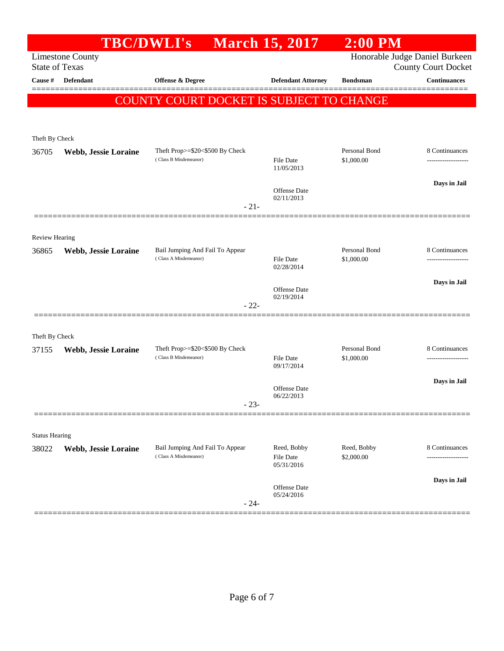|                         | <b>TBC/DWLI's</b>       |                                                          | <b>March 15, 2017</b>          | $2:00$ PM                   |                                                              |
|-------------------------|-------------------------|----------------------------------------------------------|--------------------------------|-----------------------------|--------------------------------------------------------------|
| <b>State of Texas</b>   | <b>Limestone County</b> |                                                          |                                |                             | Honorable Judge Daniel Burkeen<br><b>County Court Docket</b> |
| Cause #                 | <b>Defendant</b>        | <b>Offense &amp; Degree</b>                              | <b>Defendant Attorney</b>      | <b>Bondsman</b>             | <b>Continuances</b>                                          |
|                         |                         | COUNTY COURT DOCKET IS SUBJECT TO CHANGE                 |                                |                             |                                                              |
|                         |                         |                                                          |                                |                             |                                                              |
|                         |                         |                                                          |                                |                             |                                                              |
| Theft By Check<br>36705 | Webb, Jessie Loraine    | Theft Prop>=\$20<\$500 By Check                          |                                | Personal Bond               | 8 Continuances                                               |
|                         |                         | (Class B Misdemeanor)                                    | <b>File Date</b><br>11/05/2013 | \$1,000.00                  | -------------------                                          |
|                         |                         |                                                          |                                |                             | Days in Jail                                                 |
|                         |                         |                                                          | Offense Date<br>02/11/2013     |                             |                                                              |
|                         |                         | $-21-$                                                   |                                |                             |                                                              |
|                         |                         |                                                          |                                |                             |                                                              |
| <b>Review Hearing</b>   |                         |                                                          |                                |                             |                                                              |
| 36865                   | Webb, Jessie Loraine    | Bail Jumping And Fail To Appear<br>(Class A Misdemeanor) | <b>File Date</b>               | Personal Bond<br>\$1,000.00 | 8 Continuances                                               |
|                         |                         |                                                          | 02/28/2014                     |                             |                                                              |
|                         |                         |                                                          | Offense Date                   |                             | Days in Jail                                                 |
|                         |                         | $-22-$                                                   | 02/19/2014                     |                             |                                                              |
|                         |                         |                                                          |                                |                             |                                                              |
| Theft By Check          |                         |                                                          |                                |                             |                                                              |
| 37155                   | Webb, Jessie Loraine    | Theft Prop>=\$20<\$500 By Check<br>(Class B Misdemeanor) | <b>File Date</b>               | Personal Bond               | 8 Continuances                                               |
|                         |                         |                                                          | 09/17/2014                     | \$1,000.00                  |                                                              |
|                         |                         |                                                          | Offense Date                   |                             | Days in Jail                                                 |
|                         |                         | $-23-$                                                   | 06/22/2013                     |                             |                                                              |
|                         |                         |                                                          |                                |                             |                                                              |
| <b>Status Hearing</b>   |                         |                                                          |                                |                             |                                                              |
| 38022                   | Webb, Jessie Loraine    | Bail Jumping And Fail To Appear                          | Reed, Bobby                    | Reed, Bobby                 | 8 Continuances                                               |
|                         |                         | (Class A Misdemeanor)                                    | File Date<br>05/31/2016        | \$2,000.00                  |                                                              |
|                         |                         |                                                          |                                |                             | Days in Jail                                                 |
|                         |                         |                                                          | Offense Date<br>05/24/2016     |                             |                                                              |
|                         |                         | $-24-$                                                   |                                |                             |                                                              |